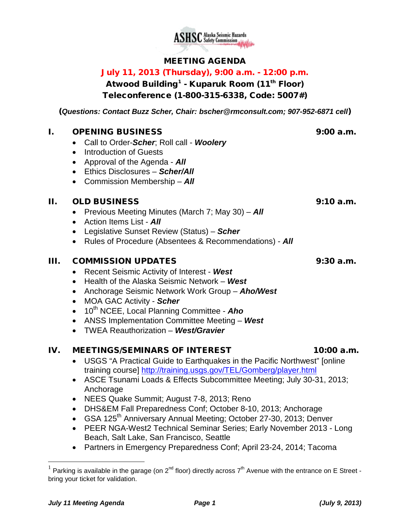

## MEETING AGENDA

# July 11, 2013 (Thursday), 9:00 a.m. - 12:00 p.m.

Atwood Building<sup>[1](#page-0-0)</sup> - Kuparuk Room (11<sup>th</sup> Floor) Teleconference (1-800-315-6338, Code: 5007#)

(*Questions: Contact Buzz Scher, Chair: [bscher@rmconsult.com;](mailto:bscher@rmconsult.com) 907-952-6871 cell*)

#### I. OPENING BUSINESS 9:00 a.m.

- Call to Order-*Scher*; Roll call *Woolery*
- Introduction of Guests
- Approval of the Agenda *All*
- Ethics Disclosures *Scher/All*
- Commission Membership *All*

#### II. OLD BUSINESS 9:10 a.m.

- Previous Meeting Minutes (March 7; May 30) *All*
- Action Items List *All*
- Legislative Sunset Review (Status) *Scher*
- Rules of Procedure (Absentees & Recommendations) *All*

#### III. COMMISSION UPDATES 9:30 a.m.

- Recent Seismic Activity of Interest *West*
- Health of the Alaska Seismic Network *West*
- Anchorage Seismic Network Work Group *Aho/West*
- MOA GAC Activity *Scher*
- 10<sup>th</sup> NCEE, Local Planning Committee **Aho**
- ANSS Implementation Committee Meeting *West*
- TWEA Reauthorization *West/Gravier*

#### IV. MEETINGS/SEMINARS OF INTEREST 10:00 a.m.

- USGS "A Practical Guide to Earthquakes in the Pacific Northwest" [online training course]<http://training.usgs.gov/TEL/Gomberg/player.html>
- ASCE Tsunami Loads & Effects Subcommittee Meeting; July 30-31, 2013; Anchorage
- NEES Quake Summit; August 7-8, 2013; Reno
- DHS&EM Fall Preparedness Conf; October 8-10, 2013; Anchorage
- GSA 125<sup>th</sup> Anniversary Annual Meeting; October 27-30, 2013; Denver
- PEER NGA-West2 Technical Seminar Series; Early November 2013 Long Beach, Salt Lake, San Francisco, Seattle
- Partners in Emergency Preparedness Conf; April 23-24, 2014; Tacoma

<span id="page-0-0"></span><sup>&</sup>lt;sup>1</sup> Parking is available in the garage (on  $2^{nd}$  floor) directly across  $7^{th}$  Avenue with the entrance on E Street bring your ticket for validation.